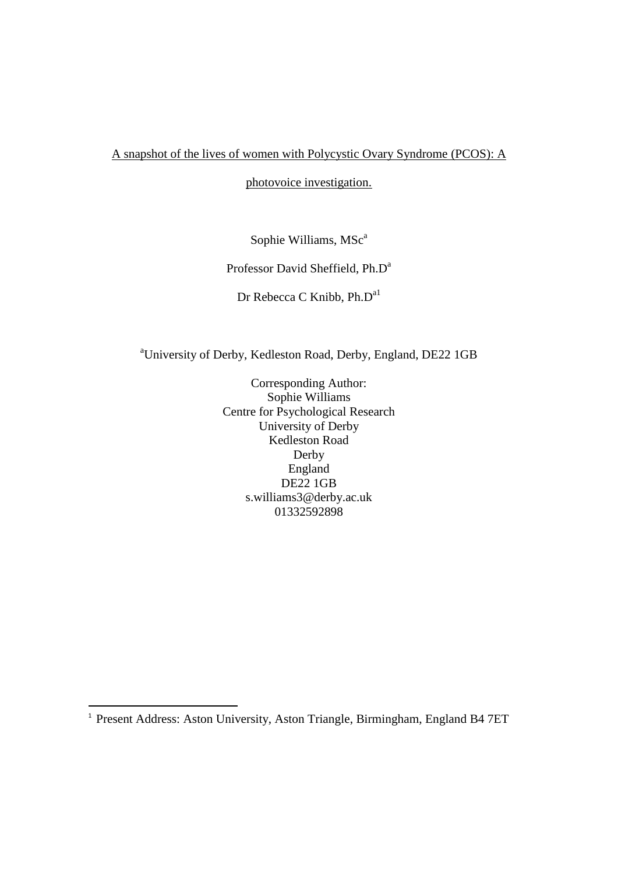A snapshot of the lives of women with Polycystic Ovary Syndrome (PCOS): A

photovoice investigation.

Sophie Williams, MSc<sup>a</sup>

Professor David Sheffield, Ph.D<sup>a</sup>

Dr Rebecca C Knibb, Ph.D<sup>a1</sup>

<sup>a</sup>University of Derby, Kedleston Road, Derby, England, DE22 1GB

Corresponding Author: Sophie Williams Centre for Psychological Research University of Derby Kedleston Road Derby England DE22 1GB [s.williams3@derby.ac.uk](mailto:s.williams3@derby.ac.uk) 01332592898

1

<sup>&</sup>lt;sup>1</sup> Present Address: Aston University, Aston Triangle, Birmingham, England B4 7ET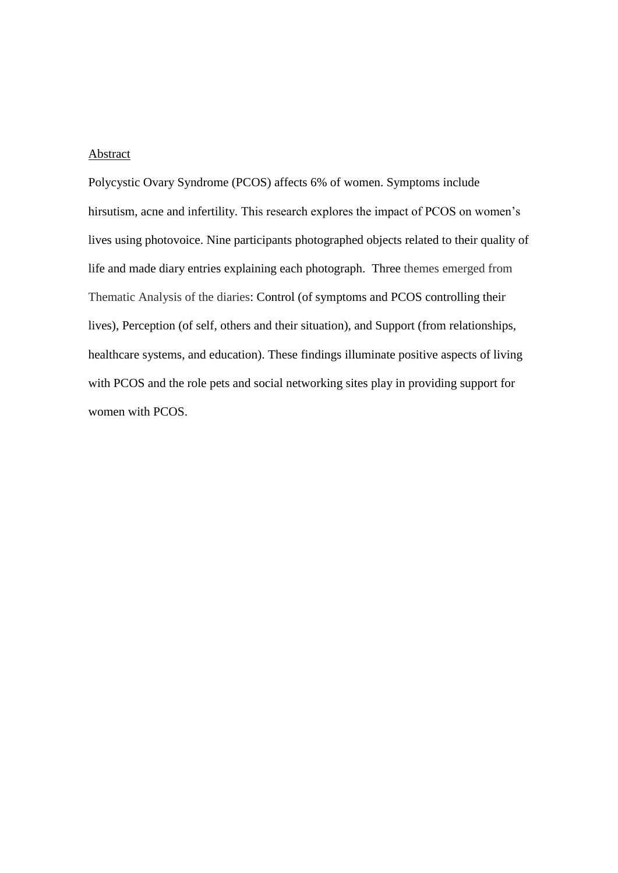### Abstract

Polycystic Ovary Syndrome (PCOS) affects 6% of women. Symptoms include hirsutism, acne and infertility. This research explores the impact of PCOS on women's lives using photovoice. Nine participants photographed objects related to their quality of life and made diary entries explaining each photograph. Three themes emerged from Thematic Analysis of the diaries: Control (of symptoms and PCOS controlling their lives), Perception (of self, others and their situation), and Support (from relationships, healthcare systems, and education). These findings illuminate positive aspects of living with PCOS and the role pets and social networking sites play in providing support for women with PCOS.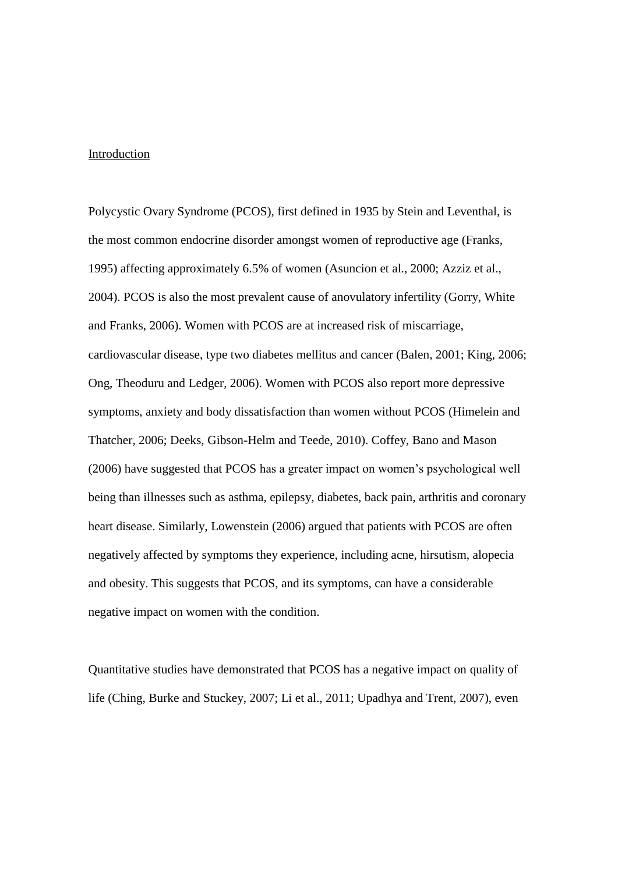### Introduction

Polycystic Ovary Syndrome (PCOS), first defined in 1935 by Stein and Leventhal, is the most common endocrine disorder amongst women of reproductive age (Franks, 1995) affecting approximately 6.5% of women (Asuncion et al., 2000; Azziz et al., 2004). PCOS is also the most prevalent cause of anovulatory infertility (Gorry, White and Franks, 2006). Women with PCOS are at increased risk of miscarriage, cardiovascular disease, type two diabetes mellitus and cancer (Balen, 2001; King, 2006; Ong, Theoduru and Ledger, 2006). Women with PCOS also report more depressive symptoms, anxiety and body dissatisfaction than women without PCOS (Himelein and Thatcher, 2006; Deeks, Gibson-Helm and Teede, 2010). Coffey, Bano and Mason (2006) have suggested that PCOS has a greater impact on women's psychological well being than illnesses such as asthma, epilepsy, diabetes, back pain, arthritis and coronary heart disease. Similarly, Lowenstein (2006) argued that patients with PCOS are often negatively affected by symptoms they experience, including acne, hirsutism, alopecia and obesity. This suggests that PCOS, and its symptoms, can have a considerable negative impact on women with the condition.

Quantitative studies have demonstrated that PCOS has a negative impact on quality of life (Ching, Burke and Stuckey, 2007; Li et al., 2011; Upadhya and Trent, 2007), even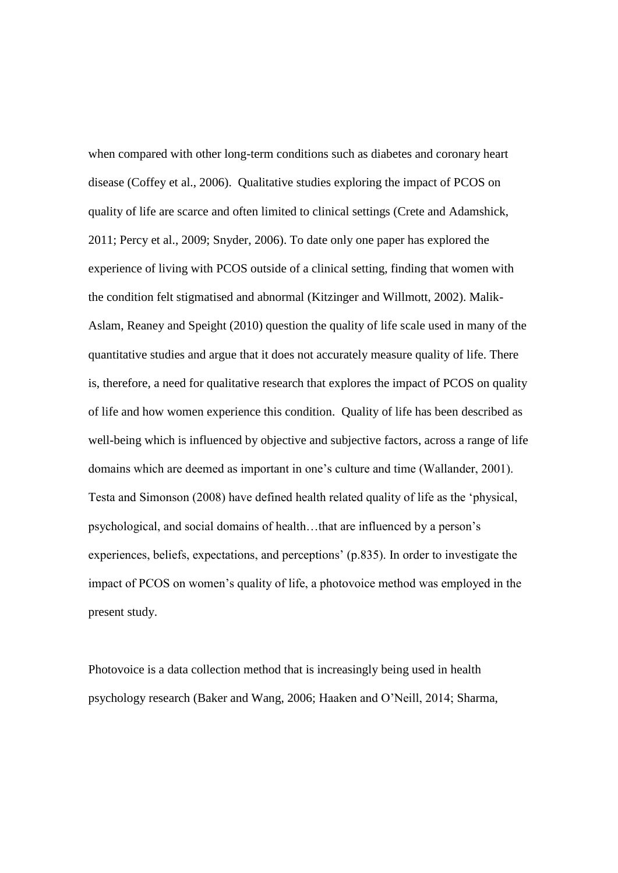when compared with other long-term conditions such as diabetes and coronary heart disease (Coffey et al., 2006). Qualitative studies exploring the impact of PCOS on quality of life are scarce and often limited to clinical settings (Crete and Adamshick, 2011; Percy et al., 2009; Snyder, 2006). To date only one paper has explored the experience of living with PCOS outside of a clinical setting, finding that women with the condition felt stigmatised and abnormal (Kitzinger and Willmott, 2002). Malik-Aslam, Reaney and Speight (2010) question the quality of life scale used in many of the quantitative studies and argue that it does not accurately measure quality of life. There is, therefore, a need for qualitative research that explores the impact of PCOS on quality of life and how women experience this condition. Quality of life has been described as well-being which is influenced by objective and subjective factors, across a range of life domains which are deemed as important in one's culture and time (Wallander, 2001). Testa and Simonson (2008) have defined health related quality of life as the 'physical, psychological, and social domains of health…that are influenced by a person's experiences, beliefs, expectations, and perceptions' (p.835). In order to investigate the impact of PCOS on women's quality of life, a photovoice method was employed in the present study.

Photovoice is a data collection method that is increasingly being used in health psychology research (Baker and Wang, 2006; Haaken and O'Neill, 2014; Sharma,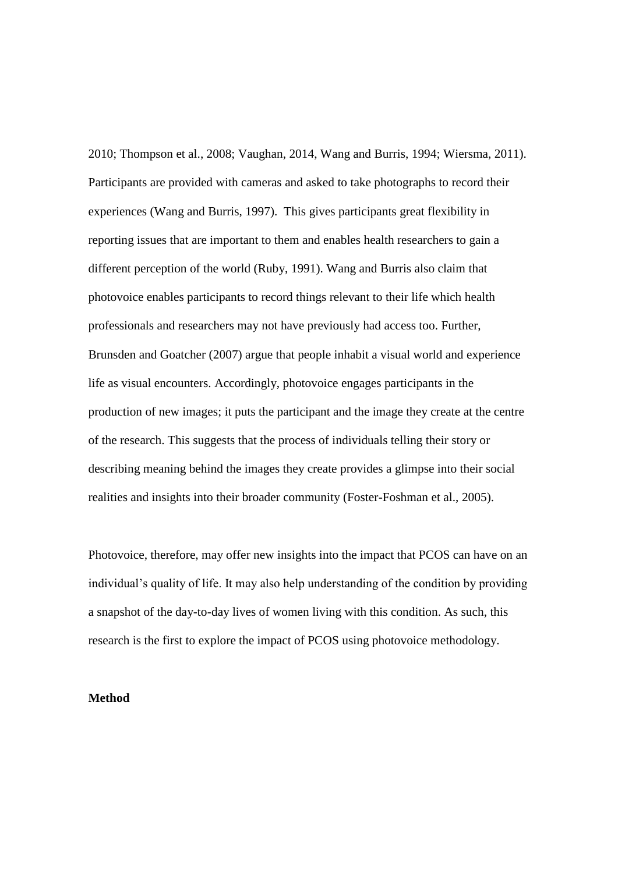2010; Thompson et al., 2008; Vaughan, 2014, Wang and Burris, 1994; Wiersma, 2011). Participants are provided with cameras and asked to take photographs to record their experiences (Wang and Burris, 1997). This gives participants great flexibility in reporting issues that are important to them and enables health researchers to gain a different perception of the world (Ruby, 1991). Wang and Burris also claim that photovoice enables participants to record things relevant to their life which health professionals and researchers may not have previously had access too. Further, Brunsden and Goatcher (2007) argue that people inhabit a visual world and experience life as visual encounters. Accordingly, photovoice engages participants in the production of new images; it puts the participant and the image they create at the centre of the research. This suggests that the process of individuals telling their story or describing meaning behind the images they create provides a glimpse into their social realities and insights into their broader community (Foster-Foshman et al., 2005).

Photovoice, therefore, may offer new insights into the impact that PCOS can have on an individual's quality of life. It may also help understanding of the condition by providing a snapshot of the day-to-day lives of women living with this condition. As such, this research is the first to explore the impact of PCOS using photovoice methodology.

### **Method**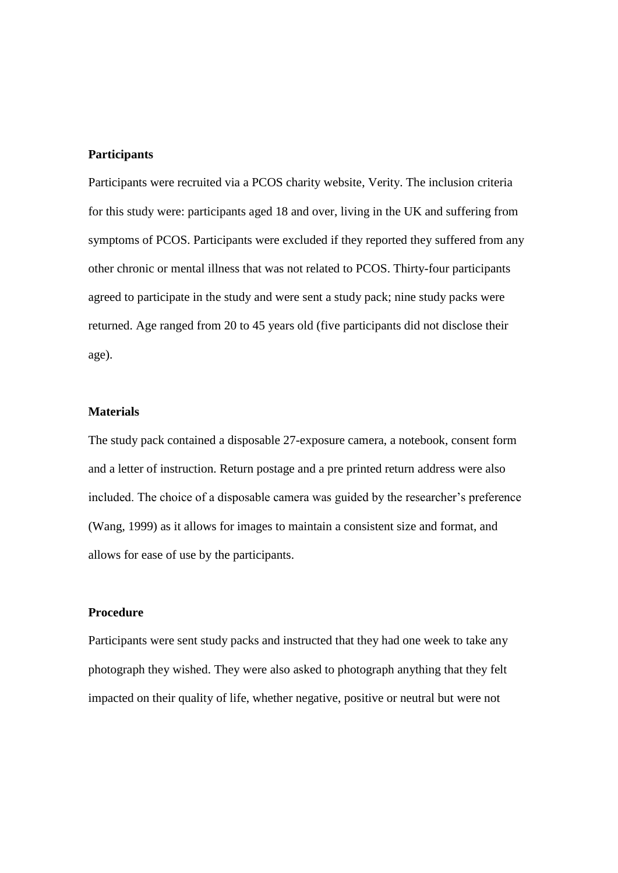### **Participants**

Participants were recruited via a PCOS charity website, Verity. The inclusion criteria for this study were: participants aged 18 and over, living in the UK and suffering from symptoms of PCOS. Participants were excluded if they reported they suffered from any other chronic or mental illness that was not related to PCOS. Thirty-four participants agreed to participate in the study and were sent a study pack; nine study packs were returned. Age ranged from 20 to 45 years old (five participants did not disclose their age).

### **Materials**

The study pack contained a disposable 27-exposure camera, a notebook, consent form and a letter of instruction. Return postage and a pre printed return address were also included. The choice of a disposable camera was guided by the researcher's preference (Wang, 1999) as it allows for images to maintain a consistent size and format, and allows for ease of use by the participants.

### **Procedure**

Participants were sent study packs and instructed that they had one week to take any photograph they wished. They were also asked to photograph anything that they felt impacted on their quality of life, whether negative, positive or neutral but were not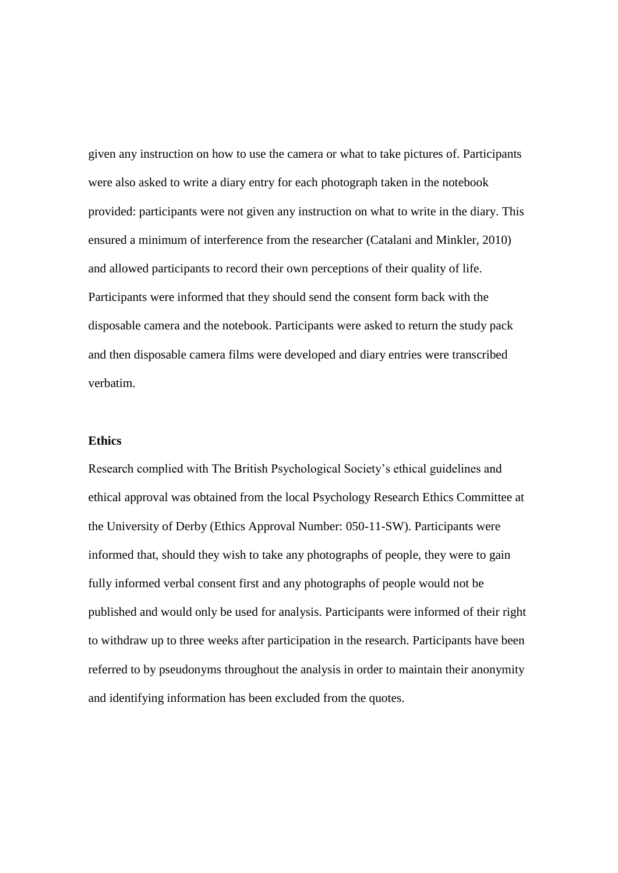given any instruction on how to use the camera or what to take pictures of. Participants were also asked to write a diary entry for each photograph taken in the notebook provided: participants were not given any instruction on what to write in the diary. This ensured a minimum of interference from the researcher (Catalani and Minkler, 2010) and allowed participants to record their own perceptions of their quality of life. Participants were informed that they should send the consent form back with the disposable camera and the notebook. Participants were asked to return the study pack and then disposable camera films were developed and diary entries were transcribed verbatim.

### **Ethics**

Research complied with The British Psychological Society's ethical guidelines and ethical approval was obtained from the local Psychology Research Ethics Committee at the University of Derby (Ethics Approval Number: 050-11-SW). Participants were informed that, should they wish to take any photographs of people, they were to gain fully informed verbal consent first and any photographs of people would not be published and would only be used for analysis. Participants were informed of their right to withdraw up to three weeks after participation in the research. Participants have been referred to by pseudonyms throughout the analysis in order to maintain their anonymity and identifying information has been excluded from the quotes.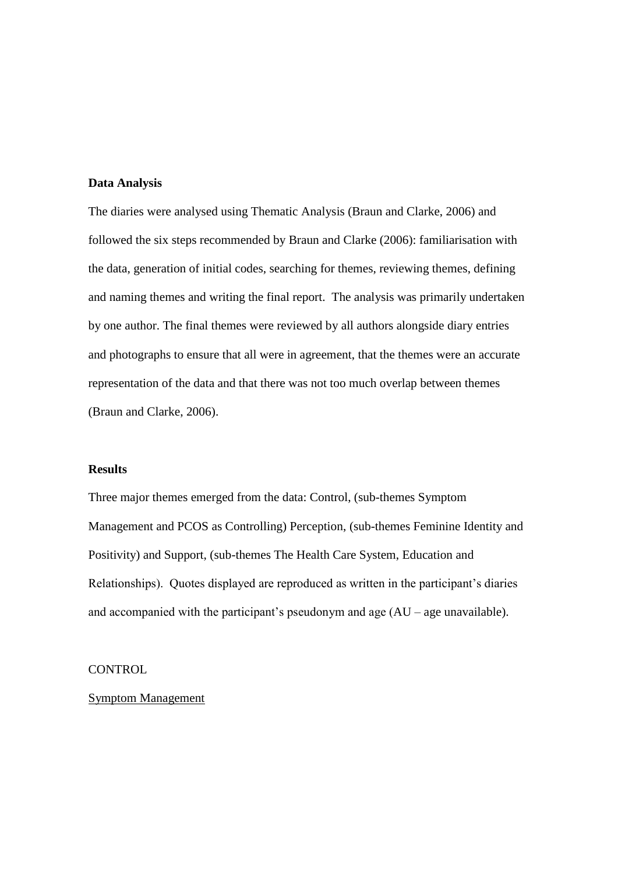### **Data Analysis**

The diaries were analysed using Thematic Analysis (Braun and Clarke, 2006) and followed the six steps recommended by Braun and Clarke (2006): familiarisation with the data, generation of initial codes, searching for themes, reviewing themes, defining and naming themes and writing the final report. The analysis was primarily undertaken by one author. The final themes were reviewed by all authors alongside diary entries and photographs to ensure that all were in agreement, that the themes were an accurate representation of the data and that there was not too much overlap between themes (Braun and Clarke, 2006).

#### **Results**

Three major themes emerged from the data: Control, (sub-themes Symptom Management and PCOS as Controlling) Perception, (sub-themes Feminine Identity and Positivity) and Support, (sub-themes The Health Care System, Education and Relationships). Quotes displayed are reproduced as written in the participant's diaries and accompanied with the participant's pseudonym and age  $(AU - age$  unavailable).

### CONTROL

### Symptom Management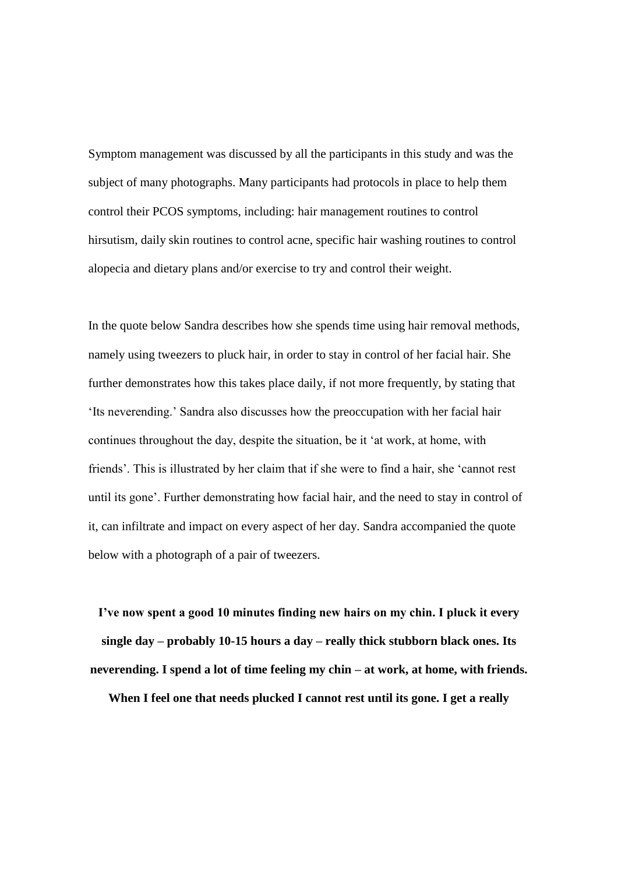Symptom management was discussed by all the participants in this study and was the subject of many photographs. Many participants had protocols in place to help them control their PCOS symptoms, including: hair management routines to control hirsutism, daily skin routines to control acne, specific hair washing routines to control alopecia and dietary plans and/or exercise to try and control their weight.

In the quote below Sandra describes how she spends time using hair removal methods, namely using tweezers to pluck hair, in order to stay in control of her facial hair. She further demonstrates how this takes place daily, if not more frequently, by stating that 'Its neverending.' Sandra also discusses how the preoccupation with her facial hair continues throughout the day, despite the situation, be it 'at work, at home, with friends'. This is illustrated by her claim that if she were to find a hair, she 'cannot rest until its gone'. Further demonstrating how facial hair, and the need to stay in control of it, can infiltrate and impact on every aspect of her day. Sandra accompanied the quote below with a photograph of a pair of tweezers.

**I've now spent a good 10 minutes finding new hairs on my chin. I pluck it every single day – probably 10-15 hours a day – really thick stubborn black ones. Its neverending. I spend a lot of time feeling my chin – at work, at home, with friends.** 

**When I feel one that needs plucked I cannot rest until its gone. I get a really**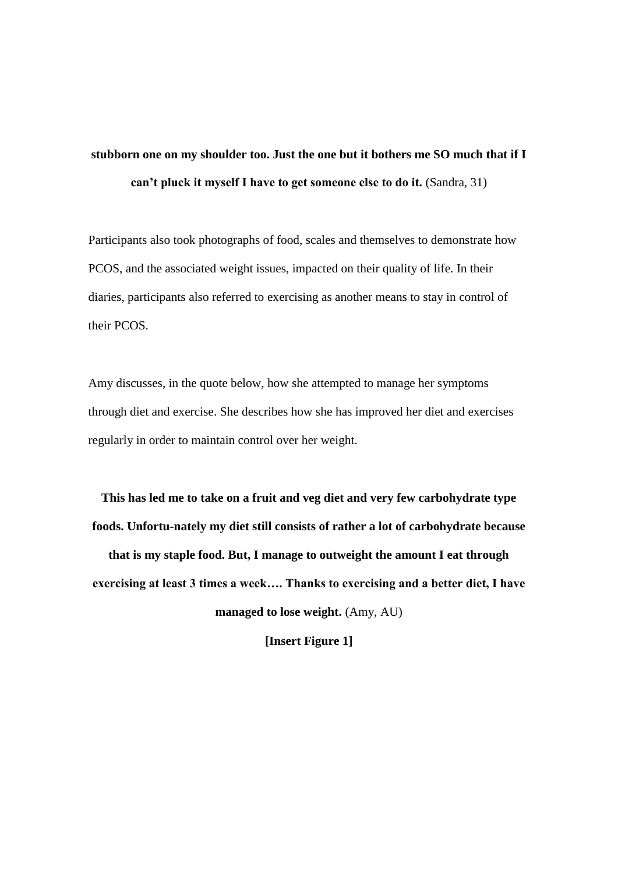### **stubborn one on my shoulder too. Just the one but it bothers me SO much that if I can't pluck it myself I have to get someone else to do it.** (Sandra, 31)

Participants also took photographs of food, scales and themselves to demonstrate how PCOS, and the associated weight issues, impacted on their quality of life. In their diaries, participants also referred to exercising as another means to stay in control of their PCOS.

Amy discusses, in the quote below, how she attempted to manage her symptoms through diet and exercise. She describes how she has improved her diet and exercises regularly in order to maintain control over her weight.

**This has led me to take on a fruit and veg diet and very few carbohydrate type foods. Unfortu-nately my diet still consists of rather a lot of carbohydrate because that is my staple food. But, I manage to outweight the amount I eat through exercising at least 3 times a week…. Thanks to exercising and a better diet, I have managed to lose weight.** (Amy, AU)

**[Insert Figure 1]**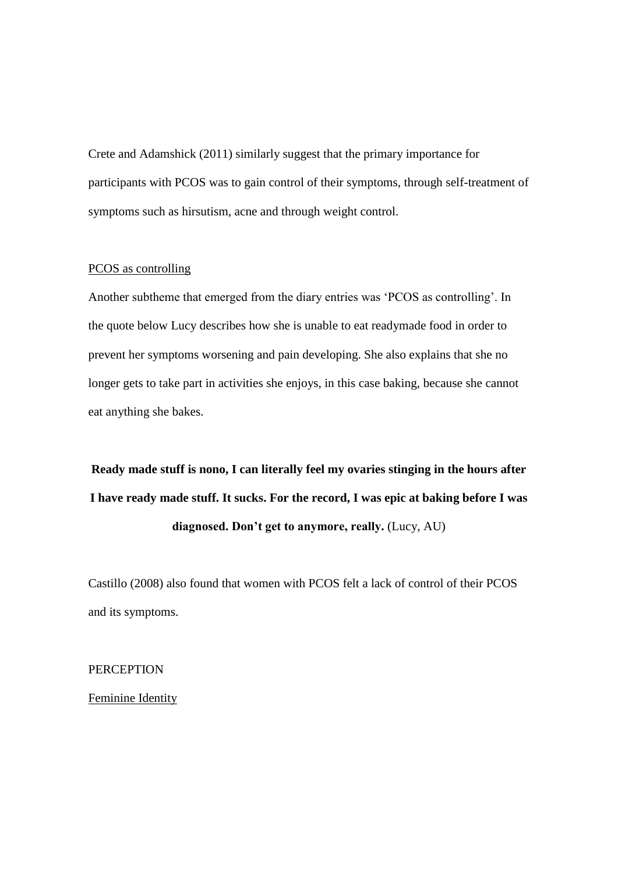Crete and Adamshick (2011) similarly suggest that the primary importance for participants with PCOS was to gain control of their symptoms, through self-treatment of symptoms such as hirsutism, acne and through weight control.

### PCOS as controlling

Another subtheme that emerged from the diary entries was 'PCOS as controlling'. In the quote below Lucy describes how she is unable to eat readymade food in order to prevent her symptoms worsening and pain developing. She also explains that she no longer gets to take part in activities she enjoys, in this case baking, because she cannot eat anything she bakes.

**Ready made stuff is nono, I can literally feel my ovaries stinging in the hours after I have ready made stuff. It sucks. For the record, I was epic at baking before I was diagnosed. Don't get to anymore, really.** (Lucy, AU)

Castillo (2008) also found that women with PCOS felt a lack of control of their PCOS and its symptoms.

**PERCEPTION** 

Feminine Identity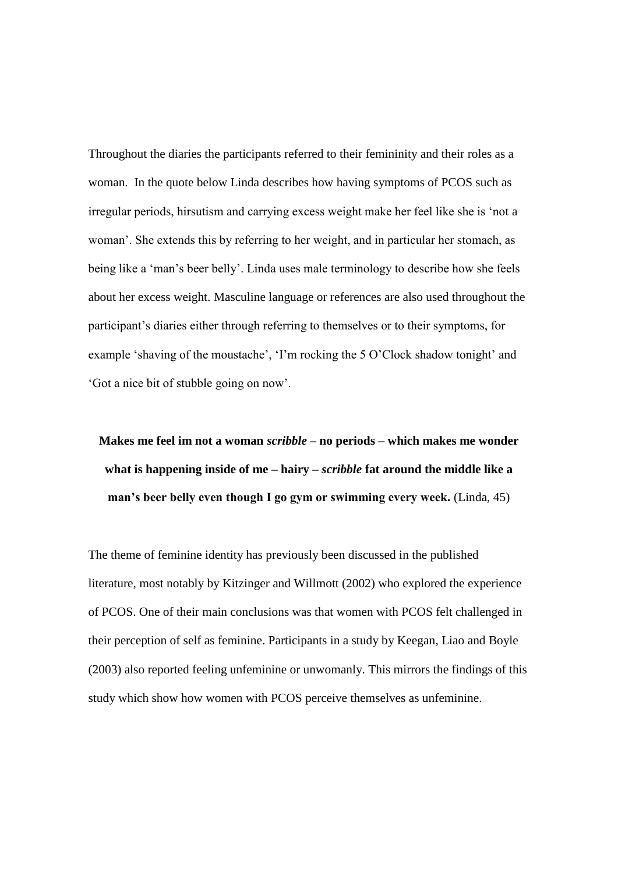Throughout the diaries the participants referred to their femininity and their roles as a woman. In the quote below Linda describes how having symptoms of PCOS such as irregular periods, hirsutism and carrying excess weight make her feel like she is 'not a woman'. She extends this by referring to her weight, and in particular her stomach, as being like a 'man's beer belly'. Linda uses male terminology to describe how she feels about her excess weight. Masculine language or references are also used throughout the participant's diaries either through referring to themselves or to their symptoms, for example 'shaving of the moustache', 'I'm rocking the 5 O'Clock shadow tonight' and 'Got a nice bit of stubble going on now'.

## **Makes me feel im not a woman** *scribble* **– no periods – which makes me wonder what is happening inside of me – hairy –** *scribble* **fat around the middle like a man's beer belly even though I go gym or swimming every week.** (Linda, 45)

The theme of feminine identity has previously been discussed in the published literature, most notably by Kitzinger and Willmott (2002) who explored the experience of PCOS. One of their main conclusions was that women with PCOS felt challenged in their perception of self as feminine. Participants in a study by Keegan, Liao and Boyle (2003) also reported feeling unfeminine or unwomanly. This mirrors the findings of this study which show how women with PCOS perceive themselves as unfeminine.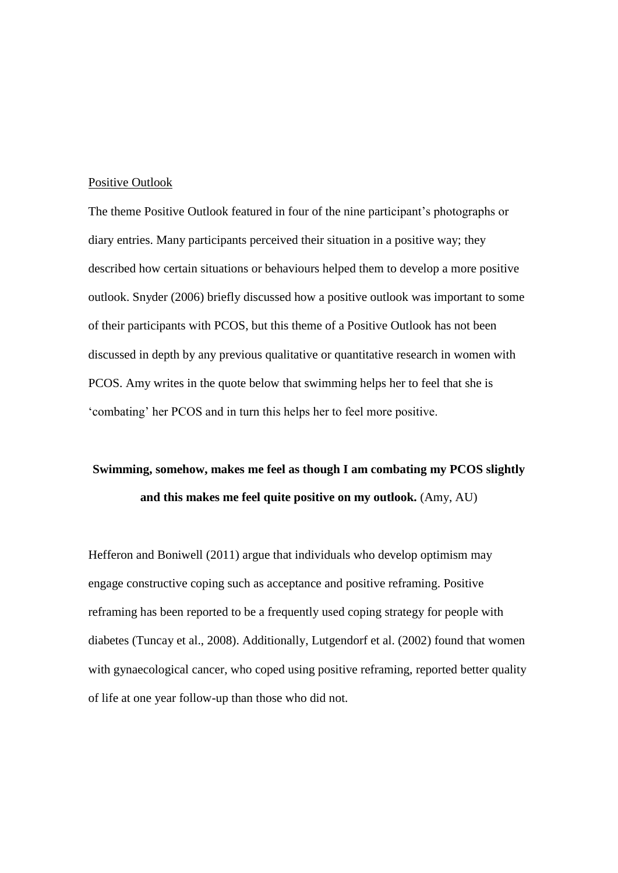#### Positive Outlook

The theme Positive Outlook featured in four of the nine participant's photographs or diary entries. Many participants perceived their situation in a positive way; they described how certain situations or behaviours helped them to develop a more positive outlook. Snyder (2006) briefly discussed how a positive outlook was important to some of their participants with PCOS, but this theme of a Positive Outlook has not been discussed in depth by any previous qualitative or quantitative research in women with PCOS. Amy writes in the quote below that swimming helps her to feel that she is 'combating' her PCOS and in turn this helps her to feel more positive.

### **Swimming, somehow, makes me feel as though I am combating my PCOS slightly and this makes me feel quite positive on my outlook.** (Amy, AU)

Hefferon and Boniwell (2011) argue that individuals who develop optimism may engage constructive coping such as acceptance and positive reframing. Positive reframing has been reported to be a frequently used coping strategy for people with diabetes (Tuncay et al., 2008). Additionally, Lutgendorf et al. (2002) found that women with gynaecological cancer, who coped using positive reframing, reported better quality of life at one year follow-up than those who did not.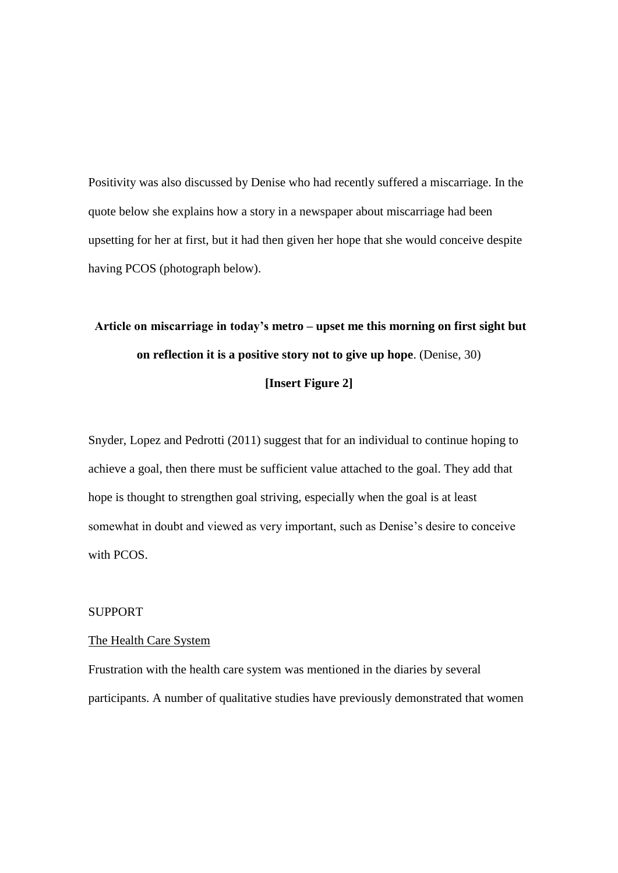Positivity was also discussed by Denise who had recently suffered a miscarriage. In the quote below she explains how a story in a newspaper about miscarriage had been upsetting for her at first, but it had then given her hope that she would conceive despite having PCOS (photograph below).

# **Article on miscarriage in today's metro – upset me this morning on first sight but on reflection it is a positive story not to give up hope**. (Denise, 30) **[Insert Figure 2]**

Snyder, Lopez and Pedrotti (2011) suggest that for an individual to continue hoping to achieve a goal, then there must be sufficient value attached to the goal. They add that hope is thought to strengthen goal striving, especially when the goal is at least somewhat in doubt and viewed as very important, such as Denise's desire to conceive with PCOS.

### **SUPPORT**

### The Health Care System

Frustration with the health care system was mentioned in the diaries by several participants. A number of qualitative studies have previously demonstrated that women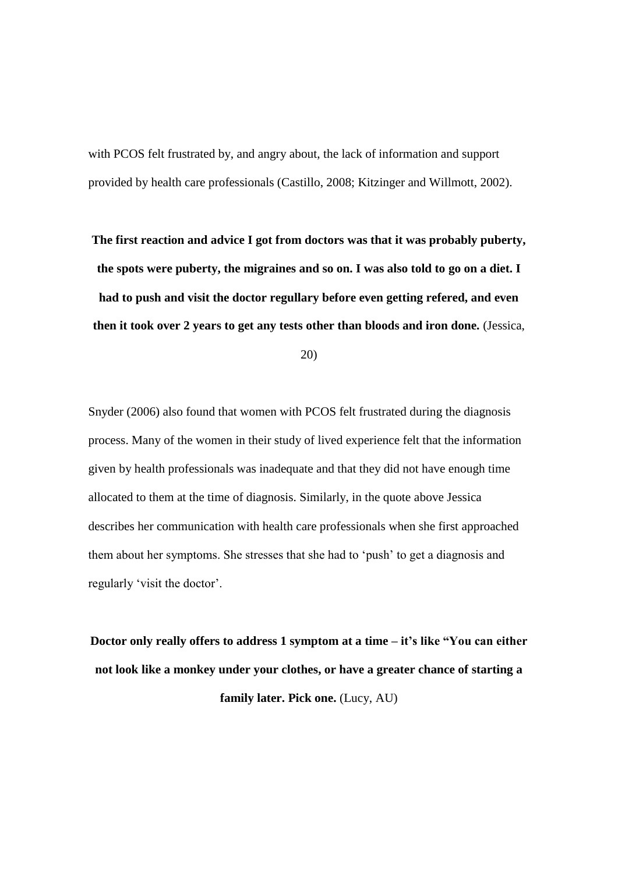with PCOS felt frustrated by, and angry about, the lack of information and support provided by health care professionals (Castillo, 2008; Kitzinger and Willmott, 2002).

**The first reaction and advice I got from doctors was that it was probably puberty, the spots were puberty, the migraines and so on. I was also told to go on a diet. I had to push and visit the doctor regullary before even getting refered, and even then it took over 2 years to get any tests other than bloods and iron done.** (Jessica,

20)

Snyder (2006) also found that women with PCOS felt frustrated during the diagnosis process. Many of the women in their study of lived experience felt that the information given by health professionals was inadequate and that they did not have enough time allocated to them at the time of diagnosis. Similarly, in the quote above Jessica describes her communication with health care professionals when she first approached them about her symptoms. She stresses that she had to 'push' to get a diagnosis and regularly 'visit the doctor'.

**Doctor only really offers to address 1 symptom at a time – it's like "You can either not look like a monkey under your clothes, or have a greater chance of starting a family later. Pick one.** (Lucy, AU)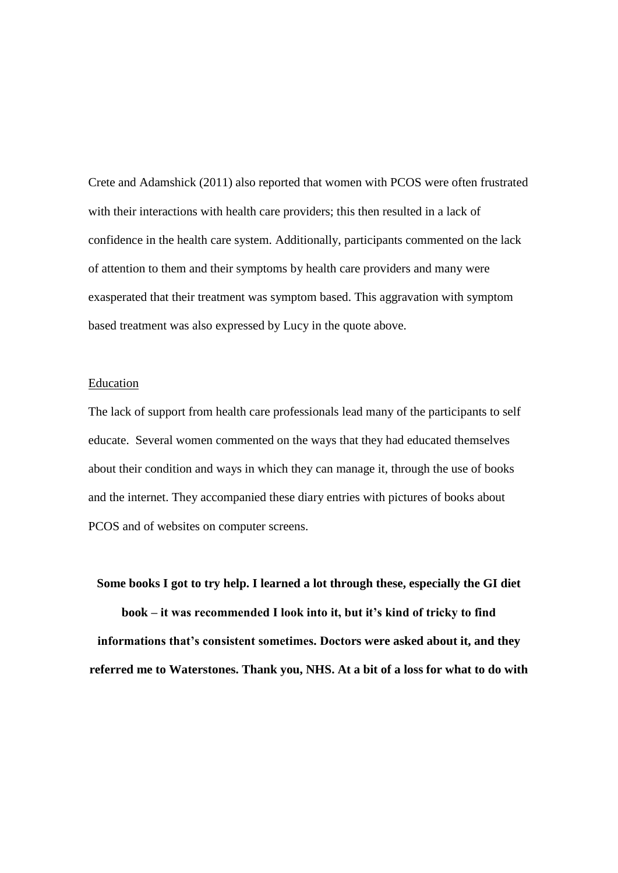Crete and Adamshick (2011) also reported that women with PCOS were often frustrated with their interactions with health care providers; this then resulted in a lack of confidence in the health care system. Additionally, participants commented on the lack of attention to them and their symptoms by health care providers and many were exasperated that their treatment was symptom based. This aggravation with symptom based treatment was also expressed by Lucy in the quote above.

### Education

The lack of support from health care professionals lead many of the participants to self educate. Several women commented on the ways that they had educated themselves about their condition and ways in which they can manage it, through the use of books and the internet. They accompanied these diary entries with pictures of books about PCOS and of websites on computer screens.

**Some books I got to try help. I learned a lot through these, especially the GI diet book – it was recommended I look into it, but it's kind of tricky to find informations that's consistent sometimes. Doctors were asked about it, and they referred me to Waterstones. Thank you, NHS. At a bit of a loss for what to do with**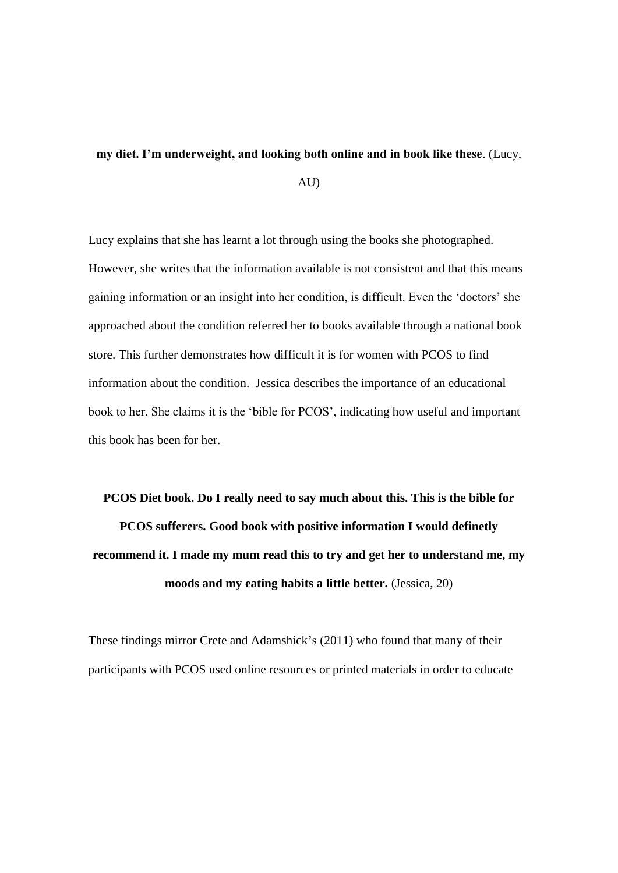### **my diet. I'm underweight, and looking both online and in book like these**. (Lucy,

AU)

Lucy explains that she has learnt a lot through using the books she photographed. However, she writes that the information available is not consistent and that this means gaining information or an insight into her condition, is difficult. Even the 'doctors' she approached about the condition referred her to books available through a national book store. This further demonstrates how difficult it is for women with PCOS to find information about the condition. Jessica describes the importance of an educational book to her. She claims it is the 'bible for PCOS', indicating how useful and important this book has been for her.

# **PCOS Diet book. Do I really need to say much about this. This is the bible for PCOS sufferers. Good book with positive information I would definetly recommend it. I made my mum read this to try and get her to understand me, my moods and my eating habits a little better.** (Jessica, 20)

These findings mirror Crete and Adamshick's (2011) who found that many of their participants with PCOS used online resources or printed materials in order to educate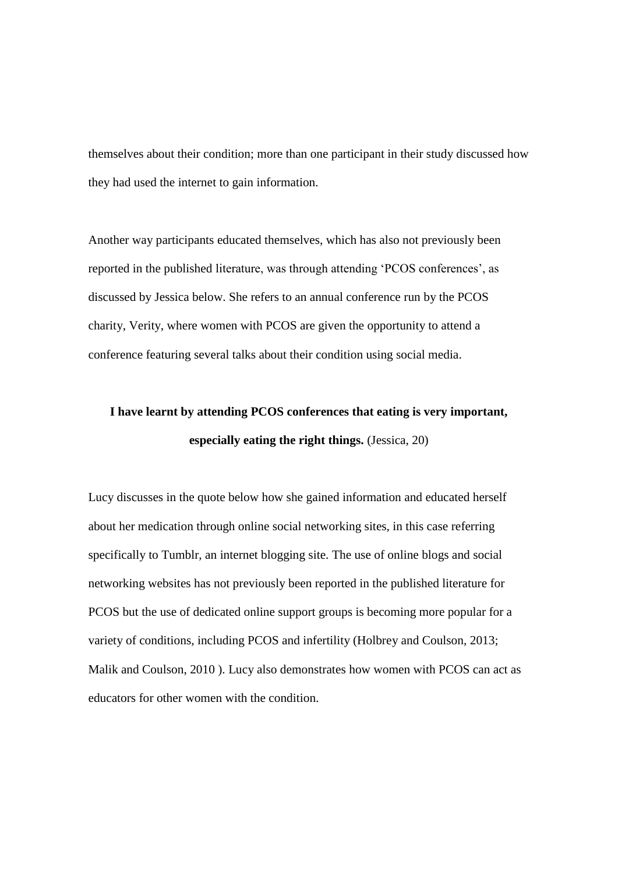themselves about their condition; more than one participant in their study discussed how they had used the internet to gain information.

Another way participants educated themselves, which has also not previously been reported in the published literature, was through attending 'PCOS conferences', as discussed by Jessica below. She refers to an annual conference run by the PCOS charity, Verity, where women with PCOS are given the opportunity to attend a conference featuring several talks about their condition using social media.

### **I have learnt by attending PCOS conferences that eating is very important, especially eating the right things.** (Jessica, 20)

Lucy discusses in the quote below how she gained information and educated herself about her medication through online social networking sites, in this case referring specifically to Tumblr, an internet blogging site. The use of online blogs and social networking websites has not previously been reported in the published literature for PCOS but the use of dedicated online support groups is becoming more popular for a variety of conditions, including PCOS and infertility (Holbrey and Coulson, 2013; Malik and Coulson, 2010 ). Lucy also demonstrates how women with PCOS can act as educators for other women with the condition.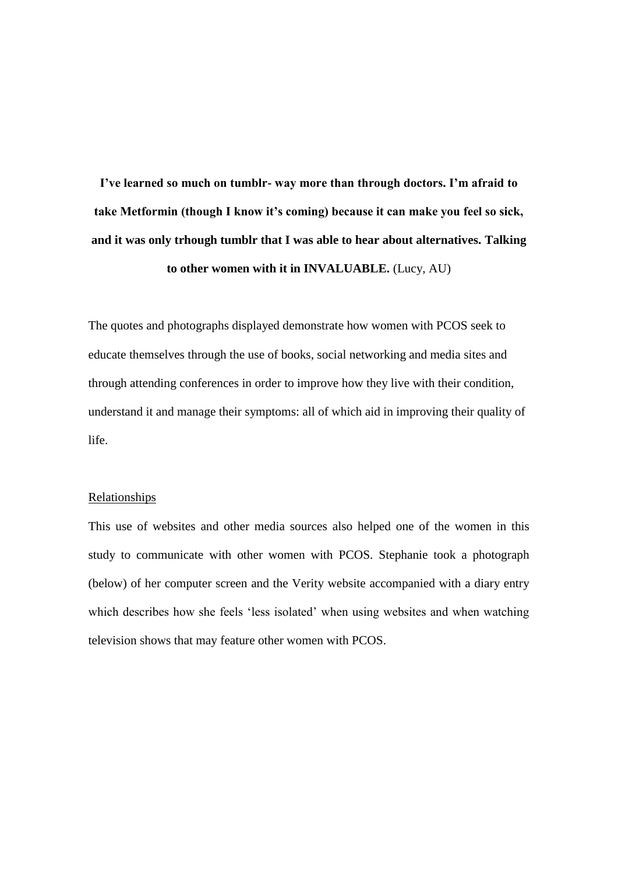**I've learned so much on tumblr- way more than through doctors. I'm afraid to take Metformin (though I know it's coming) because it can make you feel so sick, and it was only trhough tumblr that I was able to hear about alternatives. Talking to other women with it in INVALUABLE.** (Lucy, AU)

The quotes and photographs displayed demonstrate how women with PCOS seek to educate themselves through the use of books, social networking and media sites and through attending conferences in order to improve how they live with their condition, understand it and manage their symptoms: all of which aid in improving their quality of life.

### Relationships

This use of websites and other media sources also helped one of the women in this study to communicate with other women with PCOS. Stephanie took a photograph (below) of her computer screen and the Verity website accompanied with a diary entry which describes how she feels 'less isolated' when using websites and when watching television shows that may feature other women with PCOS.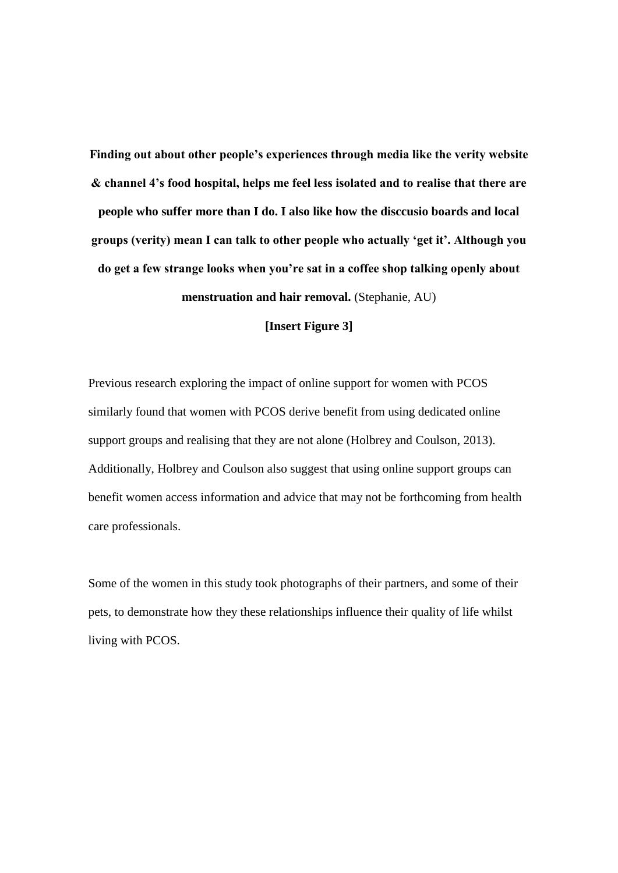**Finding out about other people's experiences through media like the verity website & channel 4's food hospital, helps me feel less isolated and to realise that there are people who suffer more than I do. I also like how the disccusio boards and local groups (verity) mean I can talk to other people who actually 'get it'. Although you do get a few strange looks when you're sat in a coffee shop talking openly about menstruation and hair removal.** (Stephanie, AU)

**[Insert Figure 3]**

Previous research exploring the impact of online support for women with PCOS similarly found that women with PCOS derive benefit from using dedicated online support groups and realising that they are not alone (Holbrey and Coulson, 2013). Additionally, Holbrey and Coulson also suggest that using online support groups can benefit women access information and advice that may not be forthcoming from health care professionals.

Some of the women in this study took photographs of their partners, and some of their pets, to demonstrate how they these relationships influence their quality of life whilst living with PCOS.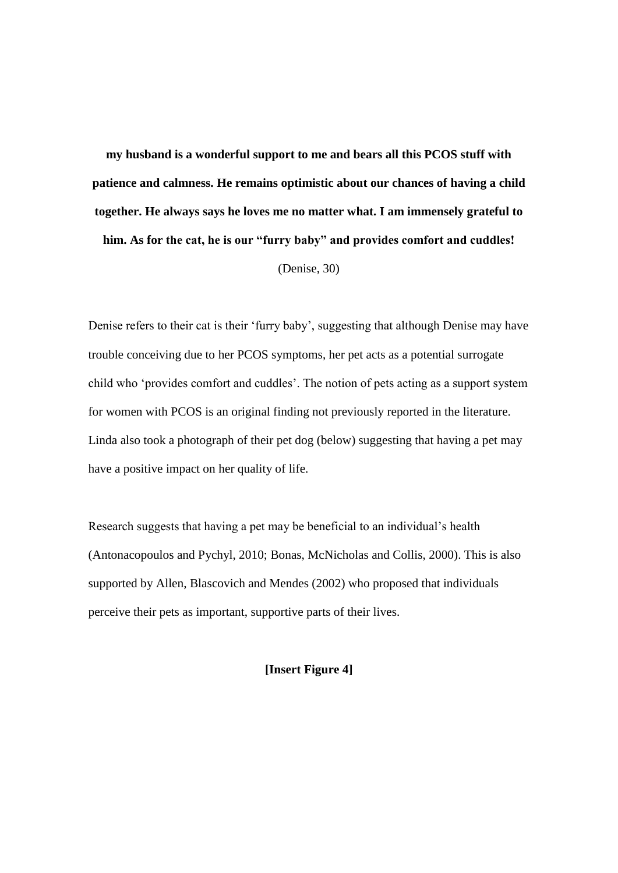**my husband is a wonderful support to me and bears all this PCOS stuff with patience and calmness. He remains optimistic about our chances of having a child together. He always says he loves me no matter what. I am immensely grateful to him. As for the cat, he is our "furry baby" and provides comfort and cuddles!**  (Denise, 30)

Denise refers to their cat is their 'furry baby', suggesting that although Denise may have trouble conceiving due to her PCOS symptoms, her pet acts as a potential surrogate child who 'provides comfort and cuddles'. The notion of pets acting as a support system for women with PCOS is an original finding not previously reported in the literature. Linda also took a photograph of their pet dog (below) suggesting that having a pet may have a positive impact on her quality of life.

Research suggests that having a pet may be beneficial to an individual's health (Antonacopoulos and Pychyl, 2010; Bonas, McNicholas and Collis, 2000). This is also supported by Allen, Blascovich and Mendes (2002) who proposed that individuals perceive their pets as important, supportive parts of their lives.

**[Insert Figure 4]**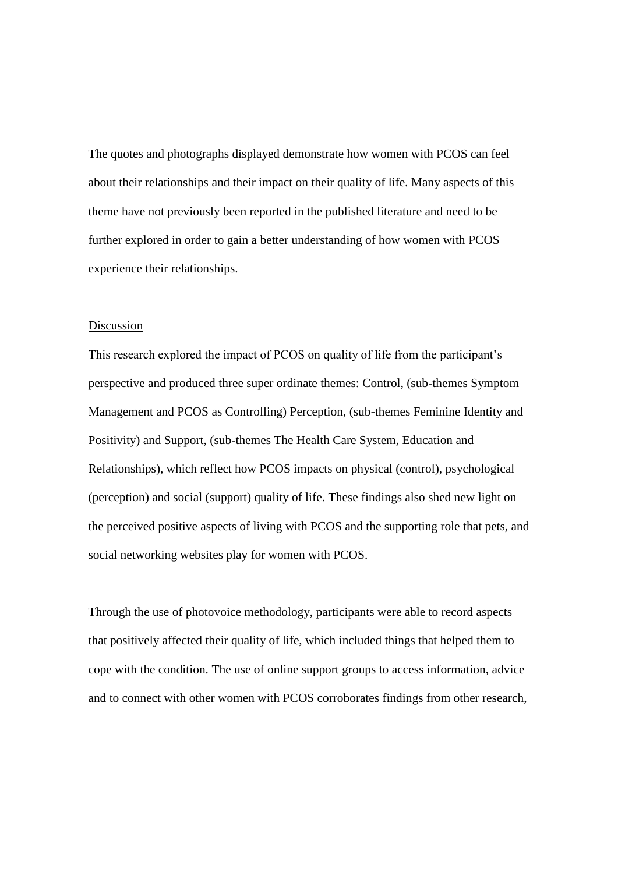The quotes and photographs displayed demonstrate how women with PCOS can feel about their relationships and their impact on their quality of life. Many aspects of this theme have not previously been reported in the published literature and need to be further explored in order to gain a better understanding of how women with PCOS experience their relationships.

#### Discussion

This research explored the impact of PCOS on quality of life from the participant's perspective and produced three super ordinate themes: Control, (sub-themes Symptom Management and PCOS as Controlling) Perception, (sub-themes Feminine Identity and Positivity) and Support, (sub-themes The Health Care System, Education and Relationships), which reflect how PCOS impacts on physical (control), psychological (perception) and social (support) quality of life. These findings also shed new light on the perceived positive aspects of living with PCOS and the supporting role that pets, and social networking websites play for women with PCOS.

Through the use of photovoice methodology, participants were able to record aspects that positively affected their quality of life, which included things that helped them to cope with the condition. The use of online support groups to access information, advice and to connect with other women with PCOS corroborates findings from other research,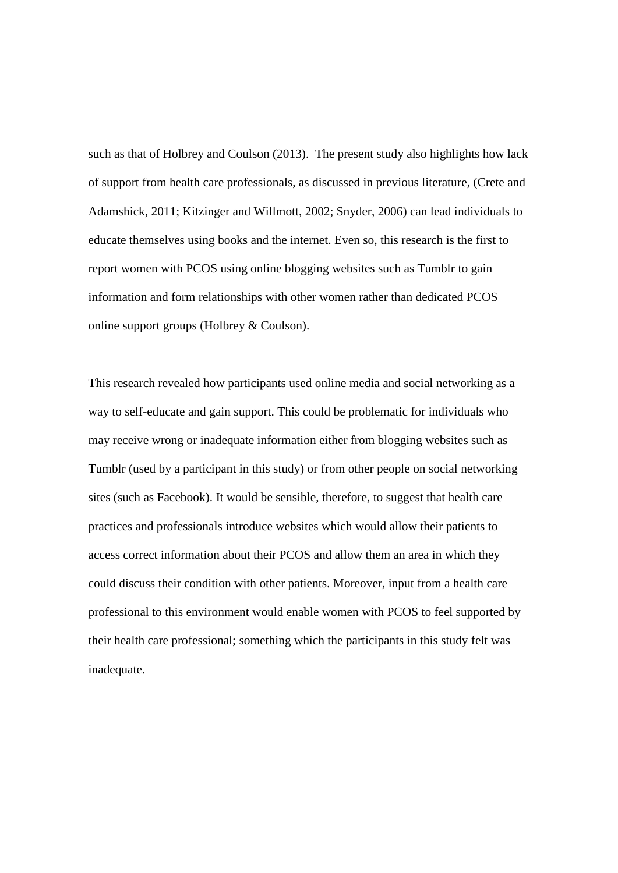such as that of Holbrey and Coulson (2013). The present study also highlights how lack of support from health care professionals, as discussed in previous literature, (Crete and Adamshick, 2011; Kitzinger and Willmott, 2002; Snyder, 2006) can lead individuals to educate themselves using books and the internet. Even so, this research is the first to report women with PCOS using online blogging websites such as Tumblr to gain information and form relationships with other women rather than dedicated PCOS online support groups (Holbrey & Coulson).

This research revealed how participants used online media and social networking as a way to self-educate and gain support. This could be problematic for individuals who may receive wrong or inadequate information either from blogging websites such as Tumblr (used by a participant in this study) or from other people on social networking sites (such as Facebook). It would be sensible, therefore, to suggest that health care practices and professionals introduce websites which would allow their patients to access correct information about their PCOS and allow them an area in which they could discuss their condition with other patients. Moreover, input from a health care professional to this environment would enable women with PCOS to feel supported by their health care professional; something which the participants in this study felt was inadequate.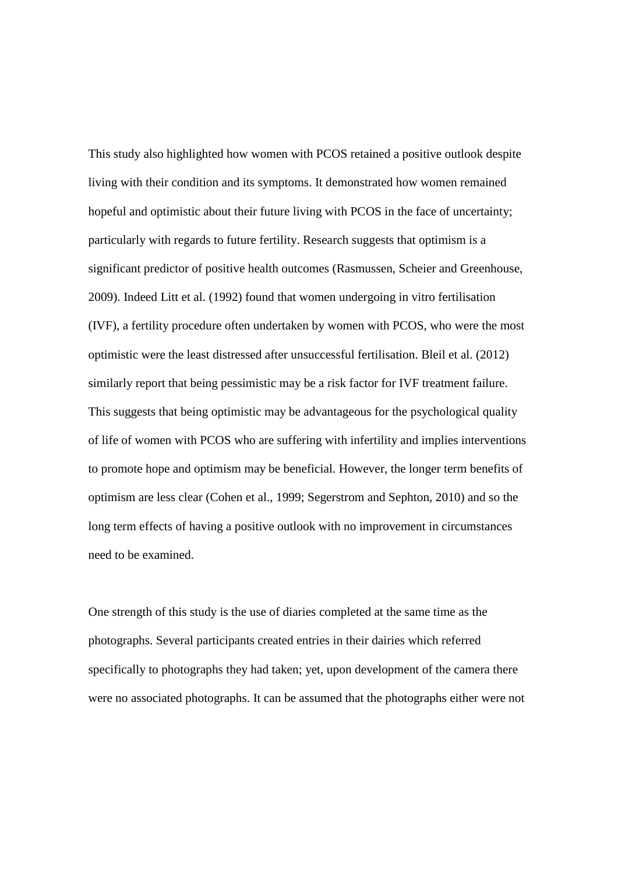This study also highlighted how women with PCOS retained a positive outlook despite living with their condition and its symptoms. It demonstrated how women remained hopeful and optimistic about their future living with PCOS in the face of uncertainty; particularly with regards to future fertility. Research suggests that optimism is a significant predictor of positive health outcomes (Rasmussen, Scheier and Greenhouse, 2009). Indeed Litt et al. (1992) found that women undergoing in vitro fertilisation (IVF), a fertility procedure often undertaken by women with PCOS, who were the most optimistic were the least distressed after unsuccessful fertilisation. Bleil et al. (2012) similarly report that being pessimistic may be a risk factor for IVF treatment failure. This suggests that being optimistic may be advantageous for the psychological quality of life of women with PCOS who are suffering with infertility and implies interventions to promote hope and optimism may be beneficial. However, the longer term benefits of optimism are less clear (Cohen et al., 1999; Segerstrom and Sephton, 2010) and so the long term effects of having a positive outlook with no improvement in circumstances need to be examined.

One strength of this study is the use of diaries completed at the same time as the photographs. Several participants created entries in their dairies which referred specifically to photographs they had taken; yet, upon development of the camera there were no associated photographs. It can be assumed that the photographs either were not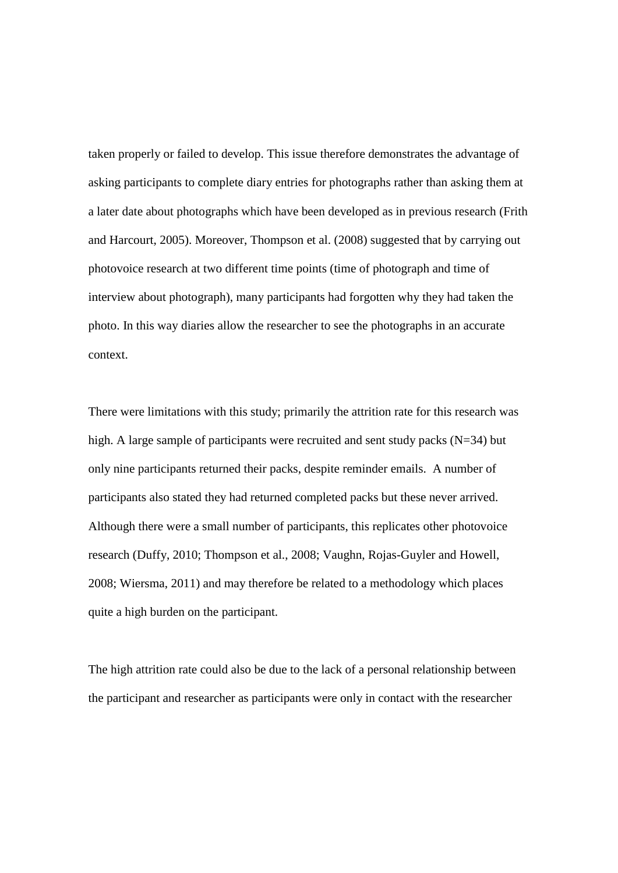taken properly or failed to develop. This issue therefore demonstrates the advantage of asking participants to complete diary entries for photographs rather than asking them at a later date about photographs which have been developed as in previous research (Frith and Harcourt, 2005). Moreover, Thompson et al. (2008) suggested that by carrying out photovoice research at two different time points (time of photograph and time of interview about photograph), many participants had forgotten why they had taken the photo. In this way diaries allow the researcher to see the photographs in an accurate context.

There were limitations with this study; primarily the attrition rate for this research was high. A large sample of participants were recruited and sent study packs  $(N=34)$  but only nine participants returned their packs, despite reminder emails. A number of participants also stated they had returned completed packs but these never arrived. Although there were a small number of participants, this replicates other photovoice research (Duffy, 2010; Thompson et al., 2008; Vaughn, Rojas-Guyler and Howell, 2008; Wiersma, 2011) and may therefore be related to a methodology which places quite a high burden on the participant.

The high attrition rate could also be due to the lack of a personal relationship between the participant and researcher as participants were only in contact with the researcher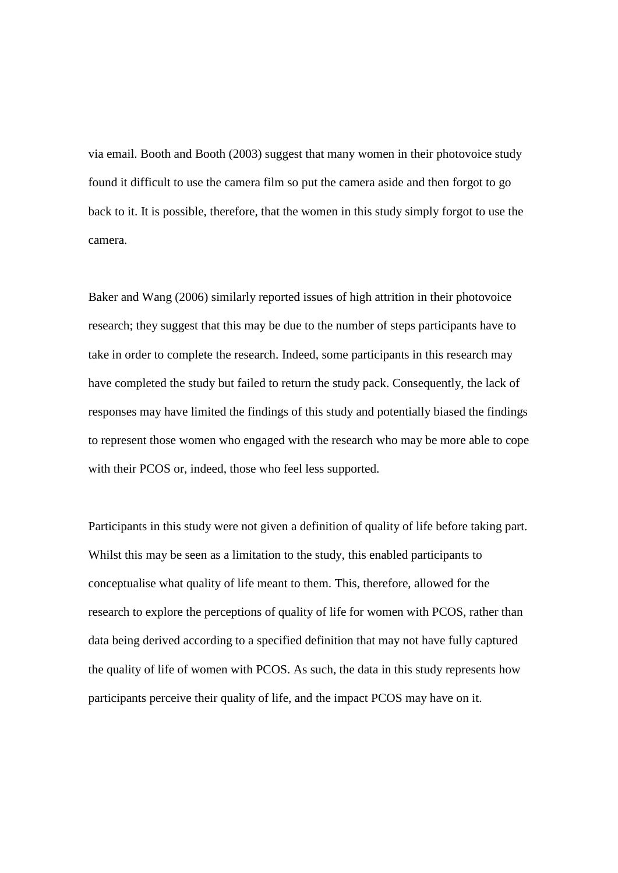via email. Booth and Booth (2003) suggest that many women in their photovoice study found it difficult to use the camera film so put the camera aside and then forgot to go back to it. It is possible, therefore, that the women in this study simply forgot to use the camera.

Baker and Wang (2006) similarly reported issues of high attrition in their photovoice research; they suggest that this may be due to the number of steps participants have to take in order to complete the research. Indeed, some participants in this research may have completed the study but failed to return the study pack. Consequently, the lack of responses may have limited the findings of this study and potentially biased the findings to represent those women who engaged with the research who may be more able to cope with their PCOS or, indeed, those who feel less supported.

Participants in this study were not given a definition of quality of life before taking part. Whilst this may be seen as a limitation to the study, this enabled participants to conceptualise what quality of life meant to them. This, therefore, allowed for the research to explore the perceptions of quality of life for women with PCOS, rather than data being derived according to a specified definition that may not have fully captured the quality of life of women with PCOS. As such, the data in this study represents how participants perceive their quality of life, and the impact PCOS may have on it.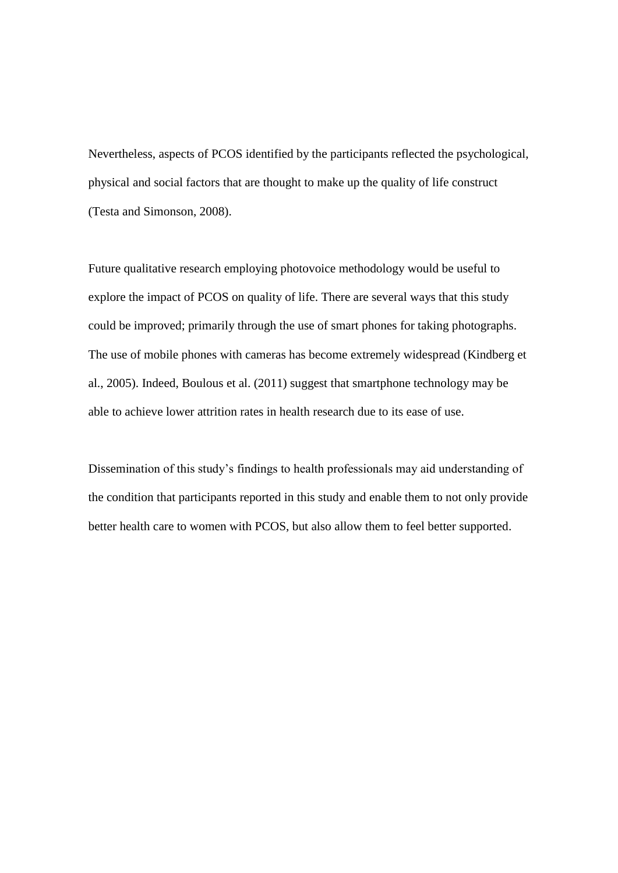Nevertheless, aspects of PCOS identified by the participants reflected the psychological, physical and social factors that are thought to make up the quality of life construct (Testa and Simonson, 2008).

Future qualitative research employing photovoice methodology would be useful to explore the impact of PCOS on quality of life. There are several ways that this study could be improved; primarily through the use of smart phones for taking photographs. The use of mobile phones with cameras has become extremely widespread (Kindberg et al., 2005). Indeed, Boulous et al. (2011) suggest that smartphone technology may be able to achieve lower attrition rates in health research due to its ease of use.

Dissemination of this study's findings to health professionals may aid understanding of the condition that participants reported in this study and enable them to not only provide better health care to women with PCOS, but also allow them to feel better supported.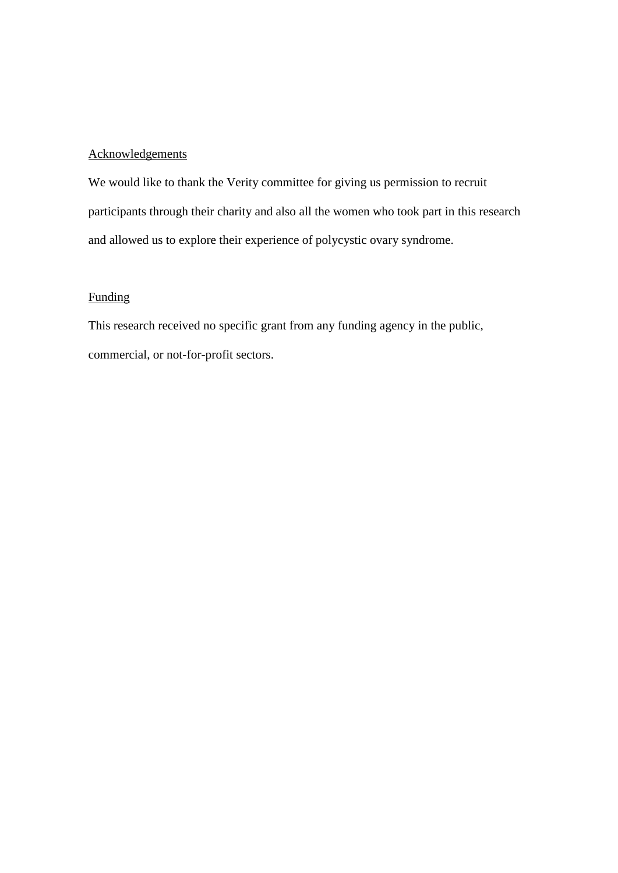### **Acknowledgements**

We would like to thank the Verity committee for giving us permission to recruit participants through their charity and also all the women who took part in this research and allowed us to explore their experience of polycystic ovary syndrome.

### Funding

This research received no specific grant from any funding agency in the public, commercial, or not-for-profit sectors.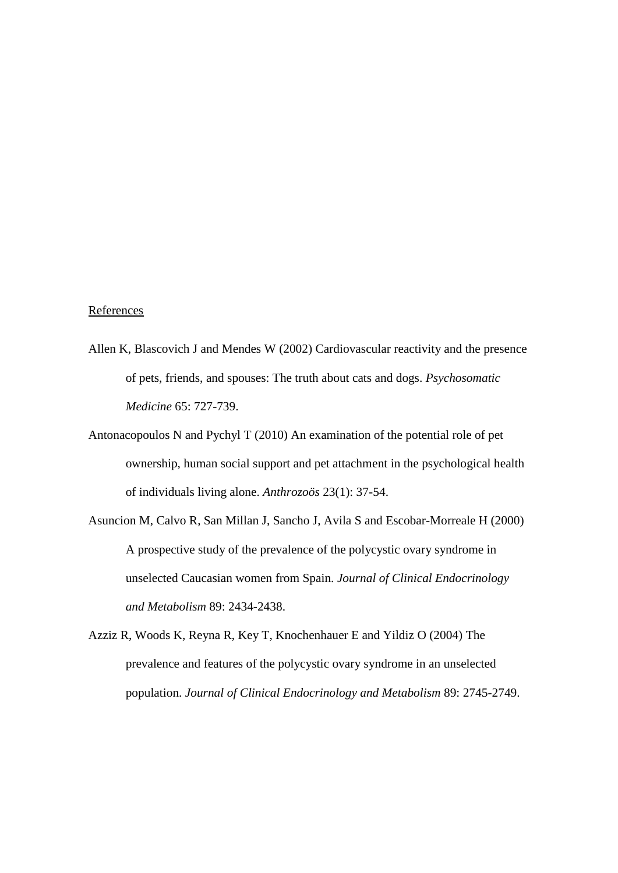### References

- Allen K, Blascovich J and Mendes W (2002) Cardiovascular reactivity and the presence of pets, friends, and spouses: The truth about cats and dogs. *Psychosomatic Medicine* 65: 727-739.
- Antonacopoulos N and Pychyl T (2010) An examination of the potential role of pet ownership, human social support and pet attachment in the psychological health of individuals living alone. *Anthrozoös* 23(1): 37-54.
- Asuncion M, Calvo R, San Millan J, Sancho J, Avila S and Escobar-Morreale H (2000) A prospective study of the prevalence of the polycystic ovary syndrome in unselected Caucasian women from Spain. *Journal of Clinical Endocrinology and Metabolism* 89: 2434-2438.
- Azziz R, Woods K, Reyna R, Key T, Knochenhauer E and Yildiz O (2004) The prevalence and features of the polycystic ovary syndrome in an unselected population. *Journal of Clinical Endocrinology and Metabolism* 89: 2745-2749.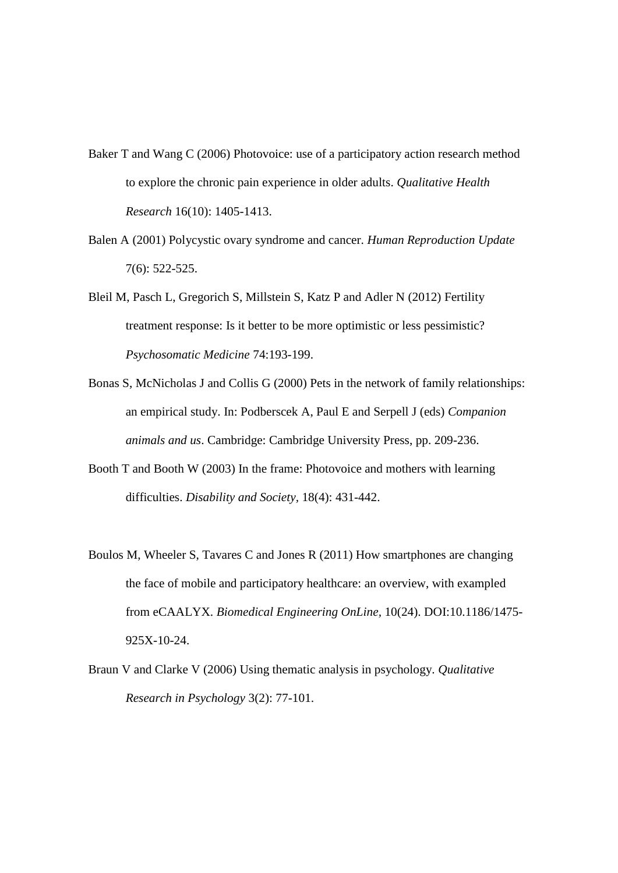- Baker T and Wang C (2006) Photovoice: use of a participatory action research method to explore the chronic pain experience in older adults. *Qualitative Health Research* 16(10): 1405-1413.
- Balen A (2001) Polycystic ovary syndrome and cancer. *Human Reproduction Update*  7(6): 522-525.
- Bleil M, Pasch L, Gregorich S, Millstein S, Katz P and Adler N (2012) Fertility treatment response: Is it better to be more optimistic or less pessimistic? *Psychosomatic Medicine* 74:193-199.
- Bonas S, McNicholas J and Collis G (2000) Pets in the network of family relationships: an empirical study. In: Podberscek A, Paul E and Serpell J (eds) *Companion animals and us*. Cambridge: Cambridge University Press, pp. 209-236.
- Booth T and Booth W (2003) In the frame: Photovoice and mothers with learning difficulties. *Disability and Society,* 18(4): 431-442.
- Boulos M, Wheeler S, Tavares C and Jones R (2011) How smartphones are changing the face of mobile and participatory healthcare: an overview, with exampled from eCAALYX. *Biomedical Engineering OnLine,* 10(24). DOI:10.1186/1475- 925X-10-24.
- Braun V and Clarke V (2006) Using thematic analysis in psychology. *Qualitative Research in Psychology* 3(2): 77-101.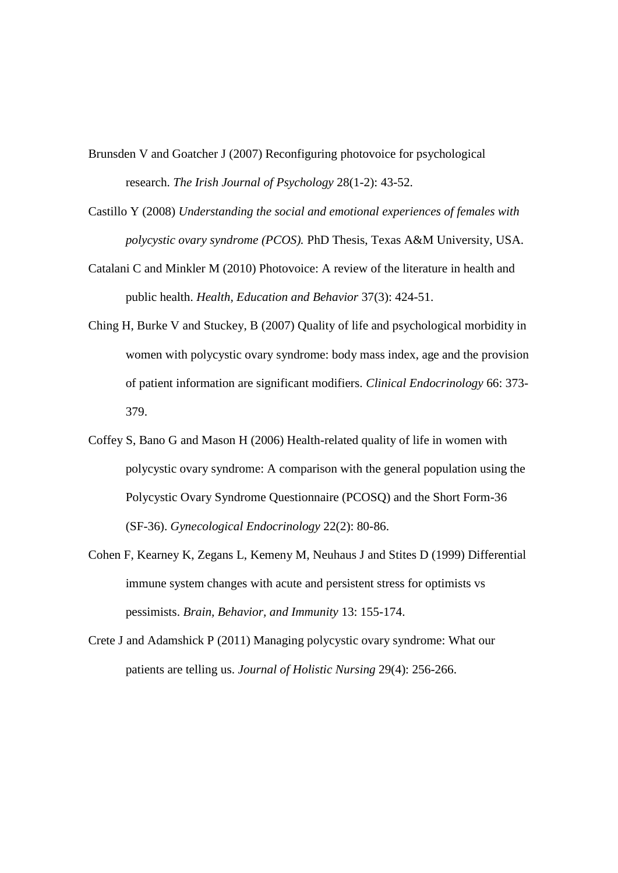- Brunsden V and Goatcher J (2007) Reconfiguring photovoice for psychological research. *The Irish Journal of Psychology* 28(1-2): 43-52.
- Castillo Y (2008) *Understanding the social and emotional experiences of females with polycystic ovary syndrome (PCOS).* PhD Thesis, Texas A&M University, USA.
- Catalani C and Minkler M (2010) Photovoice: A review of the literature in health and public health. *Health, Education and Behavior* 37(3): 424-51.
- Ching H, Burke V and Stuckey, B (2007) Quality of life and psychological morbidity in women with polycystic ovary syndrome: body mass index, age and the provision of patient information are significant modifiers. *Clinical Endocrinology* 66: 373- 379.
- Coffey S, Bano G and Mason H (2006) Health-related quality of life in women with polycystic ovary syndrome: A comparison with the general population using the Polycystic Ovary Syndrome Questionnaire (PCOSQ) and the Short Form-36 (SF-36). *Gynecological Endocrinology* 22(2): 80-86.
- Cohen F, Kearney K, Zegans L, Kemeny M, Neuhaus J and Stites D (1999) Differential immune system changes with acute and persistent stress for optimists vs pessimists. *Brain, Behavior, and Immunity* 13: 155-174.
- Crete J and Adamshick P (2011) Managing polycystic ovary syndrome: What our patients are telling us. *Journal of Holistic Nursing* 29(4): 256-266.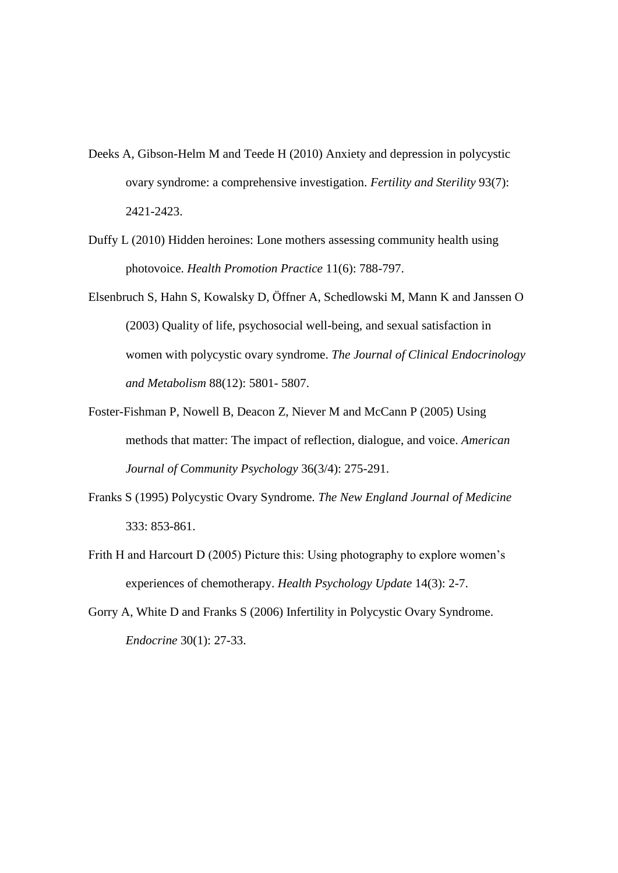- Deeks A, Gibson-Helm M and Teede H (2010) Anxiety and depression in polycystic ovary syndrome: a comprehensive investigation. *Fertility and Sterility* 93(7): 2421-2423.
- Duffy L (2010) Hidden heroines: Lone mothers assessing community health using photovoice. *Health Promotion Practice* 11(6): 788-797.
- Elsenbruch S, Hahn S, Kowalsky D, Öffner A, Schedlowski M, Mann K and Janssen O (2003) Quality of life, psychosocial well-being, and sexual satisfaction in women with polycystic ovary syndrome. *The Journal of Clinical Endocrinology and Metabolism* 88(12): 5801- 5807.
- Foster-Fishman P, Nowell B, Deacon Z, Niever M and McCann P (2005) Using methods that matter: The impact of reflection, dialogue, and voice. *American Journal of Community Psychology* 36(3/4): 275-291.
- Franks S (1995) Polycystic Ovary Syndrome. *The New England Journal of Medicine*  333: 853-861.
- Frith H and Harcourt D (2005) Picture this: Using photography to explore women's experiences of chemotherapy. *Health Psychology Update* 14(3): 2-7.
- Gorry A, White D and Franks S (2006) Infertility in Polycystic Ovary Syndrome. *Endocrine* 30(1): 27-33.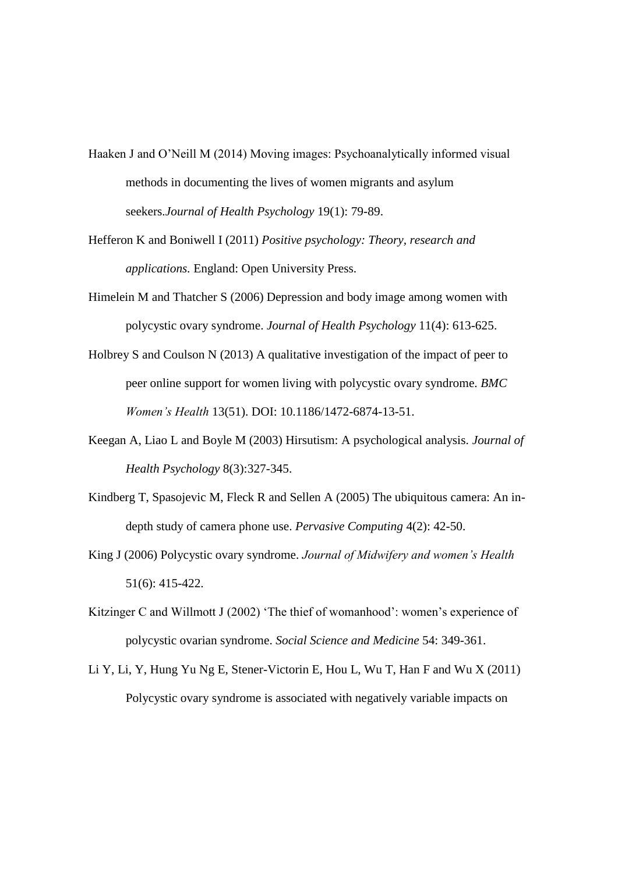- Haaken J and O'Neill M (2014) Moving images: Psychoanalytically informed visual methods in documenting the lives of women migrants and asylum seekers.*Journal of Health Psychology* 19(1): 79-89.
- Hefferon K and Boniwell I (2011) *Positive psychology: Theory, research and applications.* England: Open University Press.
- Himelein M and Thatcher S (2006) Depression and body image among women with polycystic ovary syndrome. *Journal of Health Psychology* 11(4): 613-625.
- Holbrey S and Coulson N (2013) A qualitative investigation of the impact of peer to peer online support for women living with polycystic ovary syndrome. *BMC Women's Health* 13(51). DOI: 10.1186/1472-6874-13-51.
- Keegan A, Liao L and Boyle M (2003) Hirsutism: A psychological analysis. *Journal of Health Psychology* 8(3):327-345.
- Kindberg T, Spasojevic M, Fleck R and Sellen A (2005) The ubiquitous camera: An indepth study of camera phone use. *Pervasive Computing* 4(2): 42-50.
- King J (2006) Polycystic ovary syndrome. *Journal of Midwifery and women's Health*  51(6): 415-422.
- Kitzinger C and Willmott J (2002) 'The thief of womanhood': women's experience of polycystic ovarian syndrome. *Social Science and Medicine* 54: 349-361.
- Li Y, Li, Y, Hung Yu Ng E, Stener-Victorin E, Hou L, Wu T, Han F and Wu X (2011) Polycystic ovary syndrome is associated with negatively variable impacts on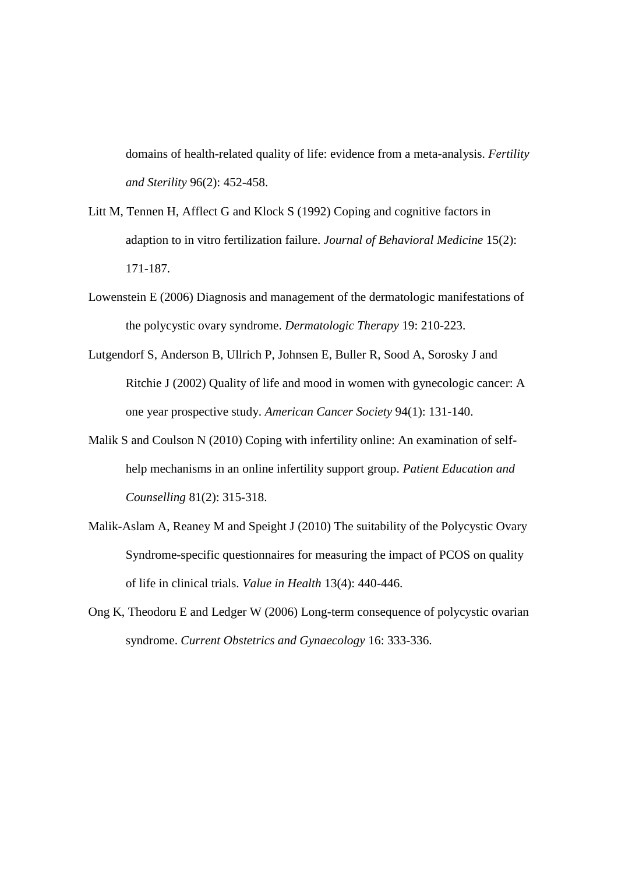domains of health-related quality of life: evidence from a meta-analysis. *Fertility and Sterility* 96(2): 452-458.

- Litt M, Tennen H, Afflect G and Klock S (1992) Coping and cognitive factors in adaption to in vitro fertilization failure. *Journal of Behavioral Medicine* 15(2): 171-187.
- Lowenstein E (2006) Diagnosis and management of the dermatologic manifestations of the polycystic ovary syndrome. *Dermatologic Therapy* 19: 210-223.
- Lutgendorf S, Anderson B, Ullrich P, Johnsen E, Buller R, Sood A, Sorosky J and Ritchie J (2002) Quality of life and mood in women with gynecologic cancer: A one year prospective study. *American Cancer Society* 94(1): 131-140.
- Malik S and Coulson N (2010) Coping with infertility online: An examination of selfhelp mechanisms in an online infertility support group. *Patient Education and Counselling* 81(2): 315-318.
- Malik-Aslam A, Reaney M and Speight J (2010) The suitability of the Polycystic Ovary Syndrome-specific questionnaires for measuring the impact of PCOS on quality of life in clinical trials. *Value in Health* 13(4): 440-446.
- Ong K, Theodoru E and Ledger W (2006) Long-term consequence of polycystic ovarian syndrome. *Current Obstetrics and Gynaecology* 16: 333-336.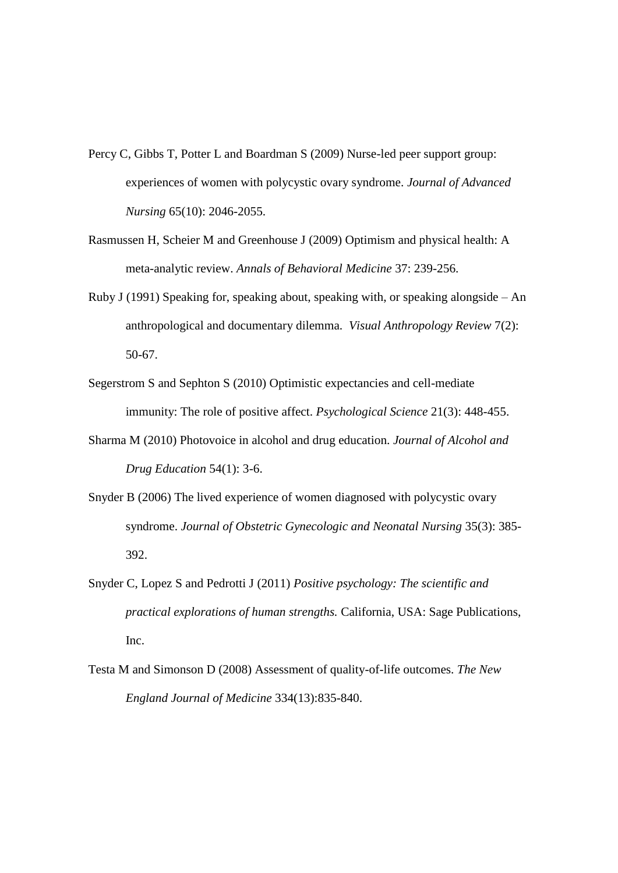- Percy C, Gibbs T, Potter L and Boardman S (2009) Nurse-led peer support group: experiences of women with polycystic ovary syndrome. *Journal of Advanced Nursing* 65(10): 2046-2055.
- Rasmussen H, Scheier M and Greenhouse J (2009) Optimism and physical health: A meta-analytic review. *Annals of Behavioral Medicine* 37: 239-256.
- Ruby J (1991) Speaking for, speaking about, speaking with, or speaking alongside An anthropological and documentary dilemma. *Visual Anthropology Review* 7(2): 50-67.
- Segerstrom S and Sephton S (2010) Optimistic expectancies and cell-mediate immunity: The role of positive affect. *Psychological Science* 21(3): 448-455.
- Sharma M (2010) Photovoice in alcohol and drug education. *Journal of Alcohol and Drug Education* 54(1): 3-6.
- Snyder B (2006) The lived experience of women diagnosed with polycystic ovary syndrome. *Journal of Obstetric Gynecologic and Neonatal Nursing* 35(3): 385- 392.
- Snyder C, Lopez S and Pedrotti J (2011) *Positive psychology: The scientific and practical explorations of human strengths.* California, USA: Sage Publications, Inc.
- Testa M and Simonson D (2008) Assessment of quality-of-life outcomes. *The New England Journal of Medicine* 334(13):835-840.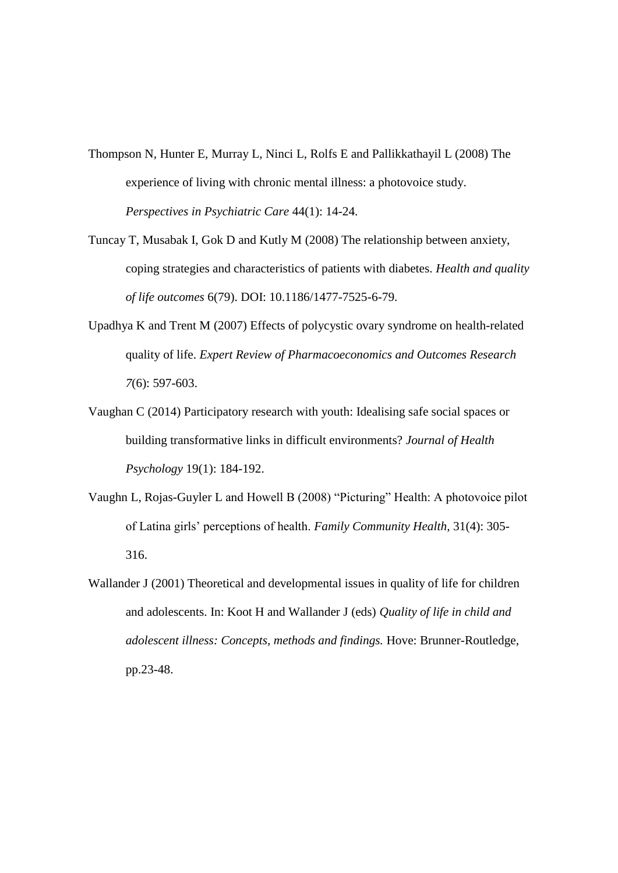- Thompson N, Hunter E, Murray L, Ninci L, Rolfs E and Pallikkathayil L (2008) The experience of living with chronic mental illness: a photovoice study. *Perspectives in Psychiatric Care* 44(1): 14-24.
- Tuncay T, Musabak I, Gok D and Kutly M (2008) The relationship between anxiety, coping strategies and characteristics of patients with diabetes. *Health and quality of life outcomes* 6(79). DOI: 10.1186/1477-7525-6-79.
- Upadhya K and Trent M (2007) Effects of polycystic ovary syndrome on health-related quality of life. *Expert Review of Pharmacoeconomics and Outcomes Research 7*(6): 597-603.
- Vaughan C (2014) Participatory research with youth: Idealising safe social spaces or building transformative links in difficult environments? *Journal of Health Psychology* 19(1): 184-192.
- Vaughn L, Rojas-Guyler L and Howell B (2008) "Picturing" Health: A photovoice pilot of Latina girls' perceptions of health. *Family Community Health,* 31(4): 305- 316.
- Wallander J (2001) Theoretical and developmental issues in quality of life for children and adolescents. In: Koot H and Wallander J (eds) *Quality of life in child and adolescent illness: Concepts, methods and findings.* Hove: Brunner-Routledge, pp.23-48.